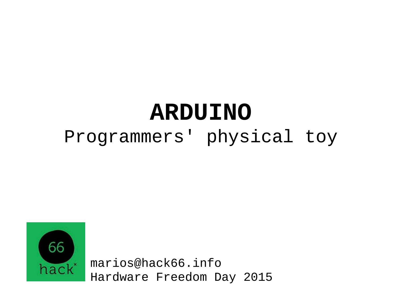## **ARDUINO** Programmers' physical toy



marios@hack66.info Hardware Freedom Day 2015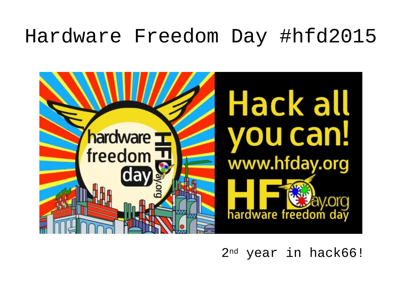#### Hardware Freedom Day #hfd2015



2<sup>nd</sup> year in hack66!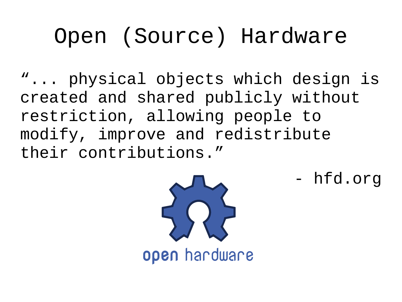# Open (Source) Hardware

"... physical objects which design is created and shared publicly without restriction, allowing people to modify, improve and redistribute their contributions."

- hfd.org

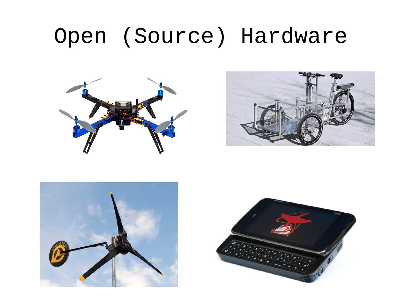# Open (Source) Hardware







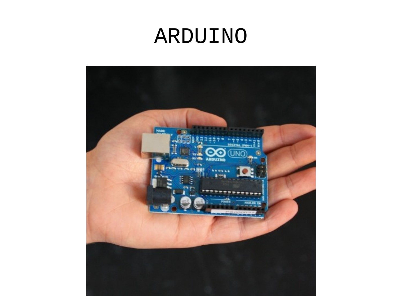#### ARDUINO

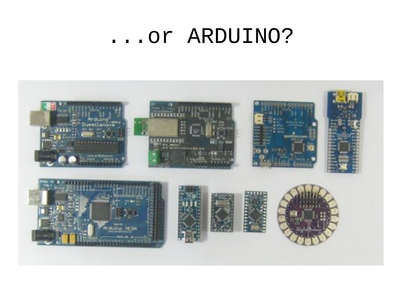#### ...or ARDUINO?

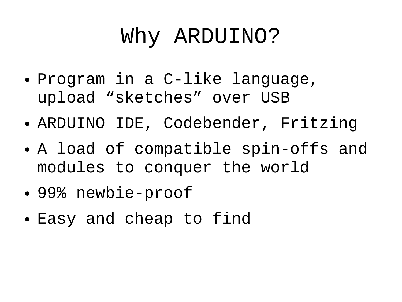# Why ARDUINO?

- Program in a C-like language, upload "sketches" over USB
- ARDUINO IDE, Codebender, Fritzing
- A load of compatible spin-offs and modules to conquer the world
- 99% newbie-proof
- Easy and cheap to find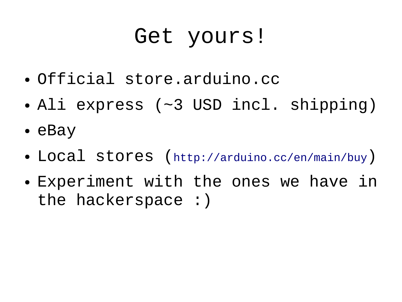# Get yours!

- Official store.arduino.cc
- Ali express ( $-3$  USD incl. shipping)
- $\cdot$  eBay
- LOCAl StOres (<http://arduino.cc/en/main/buy>)
- Experiment with the ones we have in the hackerspace :)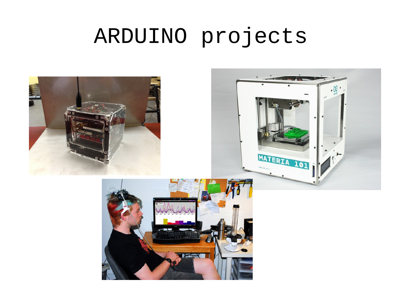### ARDUINO projects

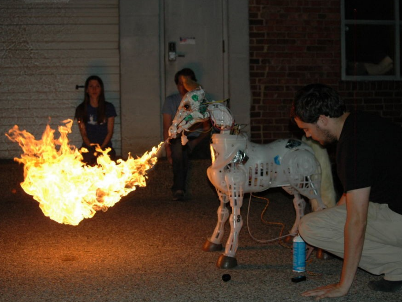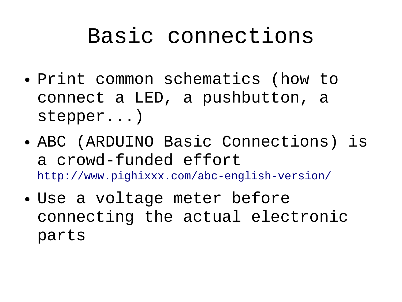### Basic connections

- Print common schematics (how to connect a LED, a pushbutton, a stepper...)
- ABC (ARDUINO Basic Connections) is a crowd-funded effort <http://www.pighixxx.com/abc-english-version/>
- Use a voltage meter before connecting the actual electronic parts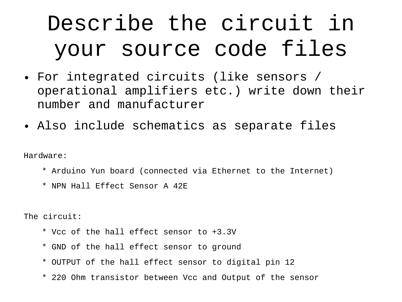# Describe the circuit in your source code files

- For integrated circuits (like sensors / operational amplifiers etc.) write down their number and manufacturer
- Also include schematics as separate files

Hardware:

- \* Arduino Yun board (connected via Ethernet to the Internet)
- \* NPN Hall Effect Sensor A 42E

The circuit:

- \* Vcc of the hall effect sensor to +3.3V
- \* GND of the hall effect sensor to ground
- \* OUTPUT of the hall effect sensor to digital pin 12
- \* 220 Ohm transistor between Vcc and Output of the sensor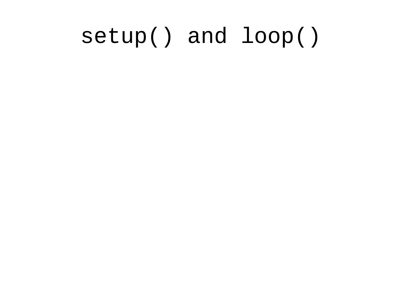# setup() and loop()

- 
- 
- -
	-
	-
	- -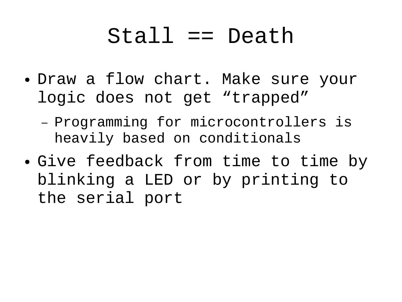# Stall == Death

- Draw a flow chart. Make sure your logic does not get "trapped"
	- Programming for microcontrollers is heavily based on conditionals
- Give feedback from time to time by blinking a LED or by printing to the serial port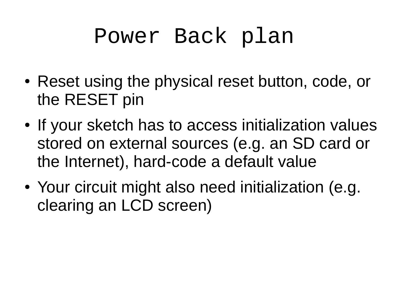# Power Back plan

- Reset using the physical reset button, code, or the RESET pin
- If your sketch has to access initialization values stored on external sources (e.g. an SD card or the Internet), hard-code a default value
- Your circuit might also need initialization (e.g. clearing an LCD screen)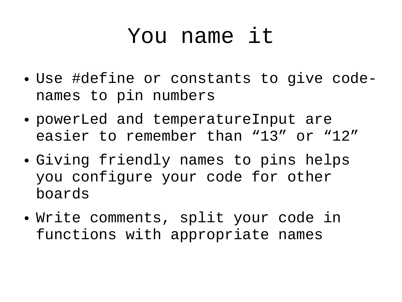## You name it

- Use #define or constants to give codenames to pin numbers
- powerLed and temperatureInput are easier to remember than "13" or "12"
- Giving friendly names to pins helps you configure your code for other boards
- Write comments, split your code in functions with appropriate names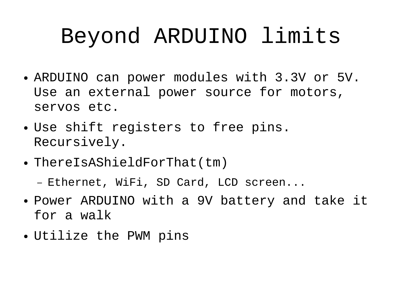# Beyond ARDUINO limits

- ARDUINO can power modules with 3.3V or 5V. Use an external power source for motors, servos etc.
- Use shift registers to free pins. Recursively.
- ThereIsAShieldForThat(tm)
	- Ethernet, WiFi, SD Card, LCD screen...
- Power ARDUINO with a 9V battery and take it for a walk
- Utilize the PWM pins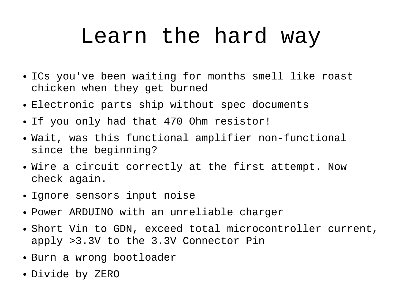# Learn the hard way

- ICs you've been waiting for months smell like roast chicken when they get burned
- Electronic parts ship without spec documents
- If you only had that 470 Ohm resistor!
- Wait, was this functional amplifier non-functional since the beginning?
- Wire a circuit correctly at the first attempt. Now check again.
- Ignore sensors input noise
- Power ARDUINO with an unreliable charger
- Short Vin to GDN, exceed total microcontroller current, apply >3.3V to the 3.3V Connector Pin
- Burn a wrong bootloader
- Divide by ZERO